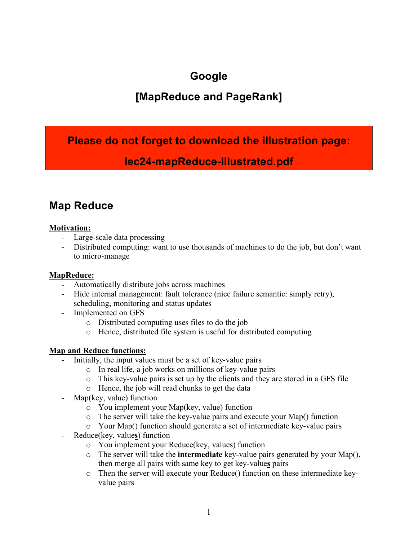# **Google**

## **[MapReduce and PageRank]**

## **Please do not forget to download the illustration page:**

## **lec24-mapReduce-Illustrated.pdf**

## **Map Reduce**

## **Motivation:**

- Large-scale data processing
- Distributed computing: want to use thousands of machines to do the job, but don't want to micro-manage

## **MapReduce:**

- Automatically distribute jobs across machines
- Hide internal management: fault tolerance (nice failure semantic: simply retry), scheduling, monitoring and status updates
- Implemented on GFS
	- o Distributed computing uses files to do the job
	- o Hence, distributed file system is useful for distributed computing

## **Map and Reduce functions:**

- Initially, the input values must be a set of key-value pairs
	- o In real life, a job works on millions of key-value pairs
	- o This key-value pairs is set up by the clients and they are stored in a GFS file
	- o Hence, the job will read chunks to get the data
- Map(key, value) function
	- o You implement your Map(key, value) function
	- o The server will take the key-value pairs and execute your Map() function
	- o Your Map() function should generate a set of intermediate key-value pairs
- Reduce(key, value**s**) function
	- o You implement your Reduce(key, values) function
	- o The server will take the **intermediate** key-value pairs generated by your Map(), then merge all pairs with same key to get key-value**s** pairs
	- o Then the server will execute your Reduce() function on these intermediate keyvalue pairs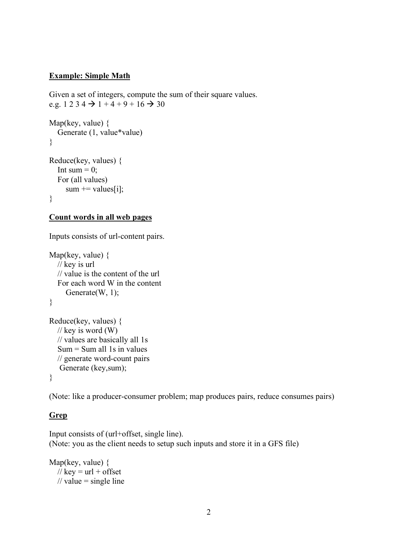#### **Example: Simple Math**

Given a set of integers, compute the sum of their square values. e.g.  $1\ 2\ 3\ 4\ \rightarrow 1 + 4 + 9 + 16 \rightarrow 30$ 

```
Map(key, value) {
   Generate (1, value*value)
}
Reduce(key, values) {
  Int sum = 0;
   For (all values)
    sum += values[i];}
```
#### **Count words in all web pages**

Inputs consists of url-content pairs.

```
Map(key, value) {
   // key is url
   // value is the content of the url
   For each word W in the content
     Generate(W, 1);
}
Reduce(key, values) {
  \frac{1}{\sqrt{2}} key is word (W)
   // values are basically all 1s
  Sum = Sum all 1s in values
   // generate word-count pairs
    Generate (key,sum); 
}
```
(Note: like a producer-consumer problem; map produces pairs, reduce consumes pairs)

#### **Grep**

Input consists of (url+offset, single line). (Note: you as the client needs to setup such inputs and store it in a GFS file)

Map(key, value) { // key =  $url + offset$ // value = single line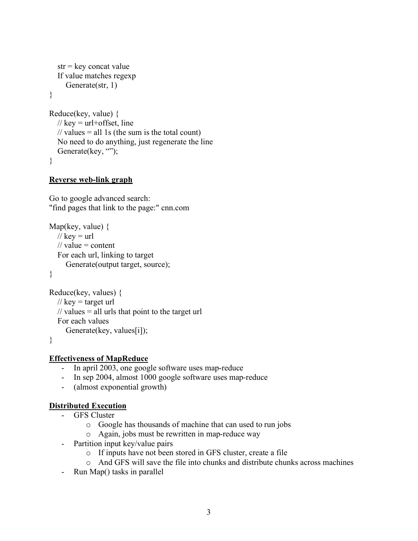```
str = \text{key} concat value
   If value matches regexp
      Generate(str, 1)
}
Reduce(key, value) {
  // key = url+offset, line
  // values = all 1s (the sum is the total count)
   No need to do anything, just regenerate the line
  Generate(key, \cdots);
}
```
#### **Reverse web-link graph**

Go to google advanced search: "find pages that link to the page:" cnn.com

```
Map(key, value) \{// key = url// value = content
   For each url, linking to target
      Generate(output target, source);
}
```

```
Reduce(key, values) {
  // key = target url\frac{1}{x} values = all urls that point to the target url
   For each values
      Generate(key, values[i]);
}
```
**Effectiveness of MapReduce**

- In april 2003, one google software uses map-reduce
- In sep 2004, almost 1000 google software uses map-reduce
- (almost exponential growth)

#### **Distributed Execution**

- GFS Cluster
	- o Google has thousands of machine that can used to run jobs
	- o Again, jobs must be rewritten in map-reduce way
- Partition input key/value pairs
	- o If inputs have not been stored in GFS cluster, create a file
	- o And GFS will save the file into chunks and distribute chunks across machines
- Run Map() tasks in parallel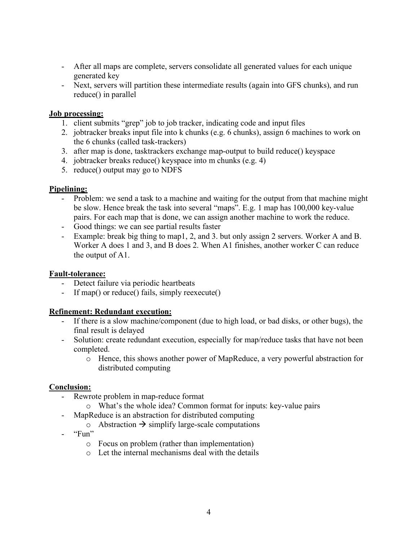- After all maps are complete, servers consolidate all generated values for each unique generated key
- Next, servers will partition these intermediate results (again into GFS chunks), and run reduce() in parallel

#### **Job processing:**

- 1. client submits "grep" job to job tracker, indicating code and input files
- 2. jobtracker breaks input file into k chunks (e.g. 6 chunks), assign 6 machines to work on the 6 chunks (called task-trackers)
- 3. after map is done, tasktrackers exchange map-output to build reduce() keyspace
- 4. jobtracker breaks reduce() keyspace into m chunks (e.g. 4)
- 5. reduce() output may go to NDFS

#### **Pipelining:**

- Problem: we send a task to a machine and waiting for the output from that machine might be slow. Hence break the task into several "maps". E.g. 1 map has 100,000 key-value pairs. For each map that is done, we can assign another machine to work the reduce.
- Good things: we can see partial results faster
- Example: break big thing to map1, 2, and 3. but only assign 2 servers. Worker A and B. Worker A does 1 and 3, and B does 2. When A1 finishes, another worker C can reduce the output of A1.

#### **Fault-tolerance:**

- Detect failure via periodic heartbeats
- If map() or reduce() fails, simply reexecute()

#### **Refinement: Redundant execution:**

- If there is a slow machine/component (due to high load, or bad disks, or other bugs), the final result is delayed
- Solution: create redundant execution, especially for map/reduce tasks that have not been completed.
	- o Hence, this shows another power of MapReduce, a very powerful abstraction for distributed computing

#### **Conclusion:**

- Rewrote problem in map-reduce format
	- o What's the whole idea? Common format for inputs: key-value pairs
- MapReduce is an abstraction for distributed computing
	- $\circ$  Abstraction  $\rightarrow$  simplify large-scale computations
- $-$  "Fun"
	- o Focus on problem (rather than implementation)
	- o Let the internal mechanisms deal with the details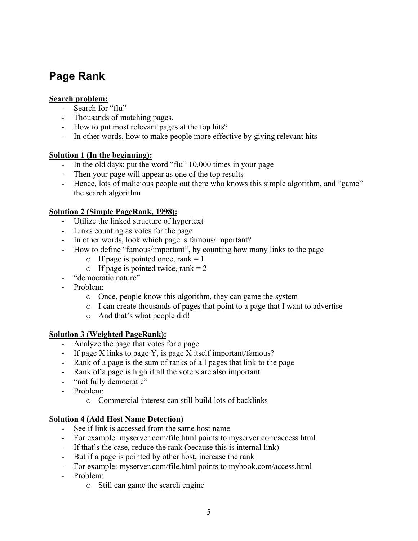# **Page Rank**

### **Search problem:**

- Search for "flu"
- Thousands of matching pages.
- How to put most relevant pages at the top hits?
- In other words, how to make people more effective by giving relevant hits

## **Solution 1 (In the beginning):**

- In the old days: put the word "flu" 10,000 times in your page
- Then your page will appear as one of the top results
- Hence, lots of malicious people out there who knows this simple algorithm, and "game" the search algorithm

## **Solution 2 (Simple PageRank, 1998):**

- Utilize the linked structure of hypertext
- Links counting as votes for the page
- In other words, look which page is famous/important?
- How to define "famous/important", by counting how many links to the page
	- o If page is pointed once, rank  $= 1$
	- $\circ$  If page is pointed twice, rank = 2
- "democratic nature"
- Problem:
	- o Once, people know this algorithm, they can game the system
	- o I can create thousands of pages that point to a page that I want to advertise
	- o And that's what people did!

#### **Solution 3 (Weighted PageRank):**

- Analyze the page that votes for a page
- If page X links to page Y, is page X itself important/famous?
- Rank of a page is the sum of ranks of all pages that link to the page
- Rank of a page is high if all the voters are also important
- "not fully democratic"
- Problem:
	- o Commercial interest can still build lots of backlinks

#### **Solution 4 (Add Host Name Detection)**

- See if link is accessed from the same host name
- For example: myserver.com/file.html points to myserver.com/access.html
- If that's the case, reduce the rank (because this is internal link)
- But if a page is pointed by other host, increase the rank
- For example: myserver.com/file.html points to mybook.com/access.html
- Problem:
	- o Still can game the search engine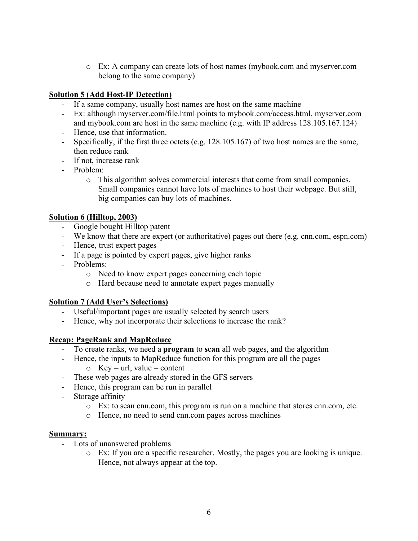o Ex: A company can create lots of host names (mybook.com and myserver.com belong to the same company)

## **Solution 5 (Add Host-IP Detection)**

- If a same company, usually host names are host on the same machine
- Ex: although myserver.com/file.html points to mybook.com/access.html, myserver.com and mybook.com are host in the same machine (e.g. with IP address 128.105.167.124)
- Hence, use that information.
- Specifically, if the first three octets (e.g. 128.105.167) of two host names are the same, then reduce rank
- If not, increase rank
- Problem:
	- o This algorithm solves commercial interests that come from small companies. Small companies cannot have lots of machines to host their webpage. But still, big companies can buy lots of machines.

#### **Solution 6 (Hilltop, 2003)**

- Google bought Hilltop patent
- We know that there are expert (or authoritative) pages out there (e.g. cnn.com, espn.com)
- Hence, trust expert pages
- If a page is pointed by expert pages, give higher ranks
- Problems:
	- o Need to know expert pages concerning each topic
	- o Hard because need to annotate expert pages manually

#### **Solution 7 (Add User's Selections)**

- Useful/important pages are usually selected by search users
- Hence, why not incorporate their selections to increase the rank?

#### **Recap: PageRank and MapReduce**

- To create ranks, we need a **program** to **scan** all web pages, and the algorithm
- Hence, the inputs to MapReduce function for this program are all the pages
	- $\circ$  Key = url, value = content
- These web pages are already stored in the GFS servers
- Hence, this program can be run in parallel
- Storage affinity
	- o Ex: to scan cnn.com, this program is run on a machine that stores cnn.com, etc.
	- o Hence, no need to send cnn.com pages across machines

#### **Summary:**

- Lots of unanswered problems
	- o Ex: If you are a specific researcher. Mostly, the pages you are looking is unique. Hence, not always appear at the top.